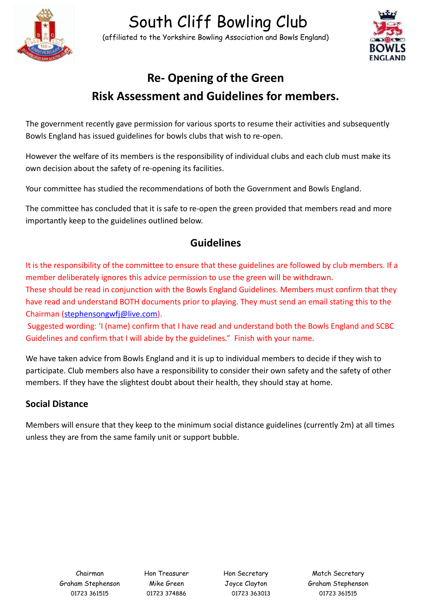

# South Cliff Bowling Club

(affiliated to the Yorkshire Bowling Association and Bowls England)



## **Re- Opening of the Green Risk Assessment and Guidelines for members.**

The government recently gave permission for various sports to resume their activities and subsequently Bowls England has issued guidelines for bowls clubs that wish to re-open.

However the welfare of its members is the responsibility of individual clubs and each club must make its own decision about the safety of re-opening its facilities.

Your committee has studied the recommendations of both the Government and Bowls England.

The committee has concluded that it is safe to re-open the green provided that members read and more importantly keep to the guidelines outlined below.

### **Guidelines**

It is the responsibility of the committee to ensure that these guidelines are followed by club members. If a member deliberately ignores this advice permission to use the green will be withdrawn.

These should be read in conjunction with the Bowls England Guidelines. Members must confirm that they have read and understand BOTH documents prior to playing. They must send an email stating this to the Chairman [\(stephensongwfj@live.com\)](mailto:stephensongwfj@live.com).

 Suggested wording: 'I (name) confirm that I have read and understand both the Bowls England and SCBC Guidelines and confirm that I will abide by the guidelines." Finish with your name.

We have taken advice from Bowls England and it is up to individual members to decide if they wish to participate. Club members also have a responsibility to consider their own safety and the safety of other members. If they have the slightest doubt about their health, they should stay at home.

#### **Social Distance**

Members will ensure that they keep to the minimum social distance guidelines (currently 2m) at all times unless they are from the same family unit or support bubble.

Graham Stephenson Mike Green Joyce Clayton Graham Stephenson 01723 361515 01723 374886 01723 363013 01723 361515

Chairman Hon Treasurer Hon Secretary Match Secretary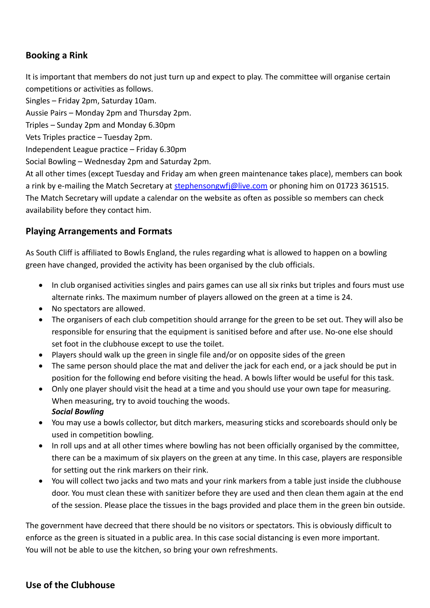#### **Booking a Rink**

It is important that members do not just turn up and expect to play. The committee will organise certain competitions or activities as follows.

Singles – Friday 2pm, Saturday 10am.

Aussie Pairs – Monday 2pm and Thursday 2pm.

Triples – Sunday 2pm and Monday 6.30pm

Vets Triples practice – Tuesday 2pm.

Independent League practice – Friday 6.30pm

Social Bowling – Wednesday 2pm and Saturday 2pm.

At all other times (except Tuesday and Friday am when green maintenance takes place), members can book a rink by e-mailing the Match Secretary at [stephensongwfj@live.com](mailto:stephensongwfj@live.com) or phoning him on 01723 361515. The Match Secretary will update a calendar on the website as often as possible so members can check availability before they contact him.

#### **Playing Arrangements and Formats**

As South Cliff is affiliated to Bowls England, the rules regarding what is allowed to happen on a bowling green have changed, provided the activity has been organised by the club officials.

- In club organised activities singles and pairs games can use all six rinks but triples and fours must use alternate rinks. The maximum number of players allowed on the green at a time is 24.
- No spectators are allowed.
- The organisers of each club competition should arrange for the green to be set out. They will also be responsible for ensuring that the equipment is sanitised before and after use. No-one else should set foot in the clubhouse except to use the toilet.
- Players should walk up the green in single file and/or on opposite sides of the green
- The same person should place the mat and deliver the jack for each end, or a jack should be put in position for the following end before visiting the head. A bowls lifter would be useful for this task.
- Only one player should visit the head at a time and you should use your own tape for measuring. When measuring, try to avoid touching the woods. *Social Bowling*
- You may use a bowls collector, but ditch markers, measuring sticks and scoreboards should only be used in competition bowling.
- In roll ups and at all other times where bowling has not been officially organised by the committee, there can be a maximum of six players on the green at any time. In this case, players are responsible for setting out the rink markers on their rink.
- You will collect two jacks and two mats and your rink markers from a table just inside the clubhouse door. You must clean these with sanitizer before they are used and then clean them again at the end of the session. Please place the tissues in the bags provided and place them in the green bin outside.

The government have decreed that there should be no visitors or spectators. This is obviously difficult to enforce as the green is situated in a public area. In this case social distancing is even more important. You will not be able to use the kitchen, so bring your own refreshments.

#### **Use of the Clubhouse**